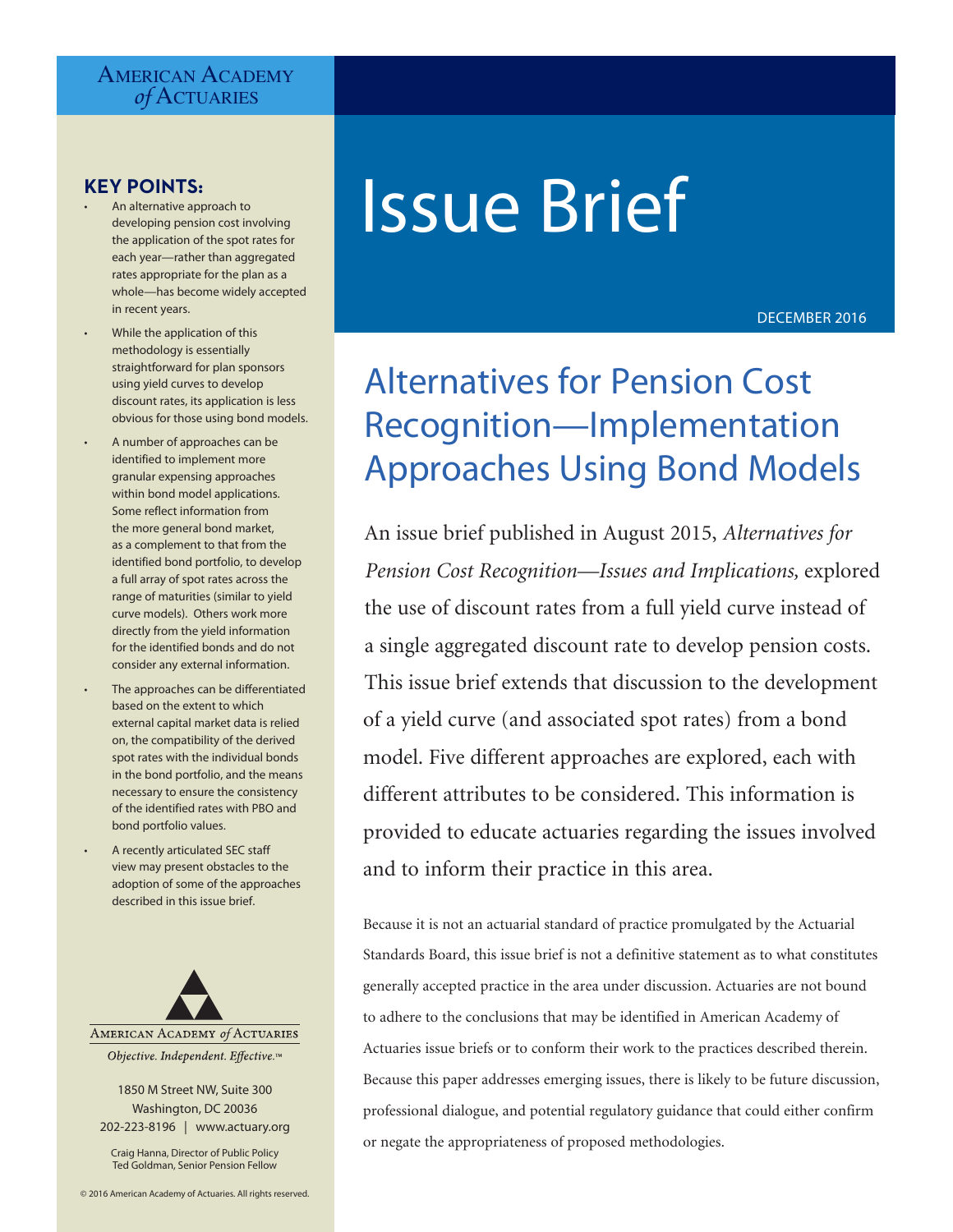# **AMERICAN ACADEMY** *of* Actuaries

# **KEY POINTS:**

- An alternative approach to developing pension cost involving the application of the spot rates for each year—rather than aggregated rates appropriate for the plan as a whole—has become widely accepted in recent years.
- While the application of this methodology is essentially straightforward for plan sponsors using yield curves to develop discount rates, its application is less obvious for those using bond models.
- A number of approaches can be identified to implement more granular expensing approaches within bond model applications. Some reflect information from the more general bond market, as a complement to that from the identified bond portfolio, to develop a full array of spot rates across the range of maturities (similar to yield curve models). Others work more directly from the yield information for the identified bonds and do not consider any external information.
- The approaches can be differentiated based on the extent to which external capital market data is relied on, the compatibility of the derived spot rates with the individual bonds in the bond portfolio, and the means necessary to ensure the consistency of the identified rates with PBO and bond portfolio values.
- A recently articulated SEC staff view may present obstacles to the adoption of some of the approaches described in this issue brief.



Objective. Independent. Effective.™

1850 M Street NW, Suite 300 Washington, DC 20036 202-223-8196 | www.actuary.org

Craig Hanna, Director of Public Policy Ted Goldman, Senior Pension Fellow

# Issue Brief

DECEMBER 2016

# Alternatives for Pension Cost Recognition—Implementation Approaches Using Bond Models

An issue brief published in August 2015, *Alternatives for Pension Cost Recognition—Issues and Implications,* explored the use of discount rates from a full yield curve instead of a single aggregated discount rate to develop pension costs. This issue brief extends that discussion to the development of a yield curve (and associated spot rates) from a bond model. Five different approaches are explored, each with different attributes to be considered. This information is provided to educate actuaries regarding the issues involved and to inform their practice in this area.

Because it is not an actuarial standard of practice promulgated by the Actuarial Standards Board, this issue brief is not a definitive statement as to what constitutes generally accepted practice in the area under discussion. Actuaries are not bound to adhere to the conclusions that may be identified in American Academy of Actuaries issue briefs or to conform their work to the practices described therein. Because this paper addresses emerging issues, there is likely to be future discussion, professional dialogue, and potential regulatory guidance that could either confirm or negate the appropriateness of proposed methodologies.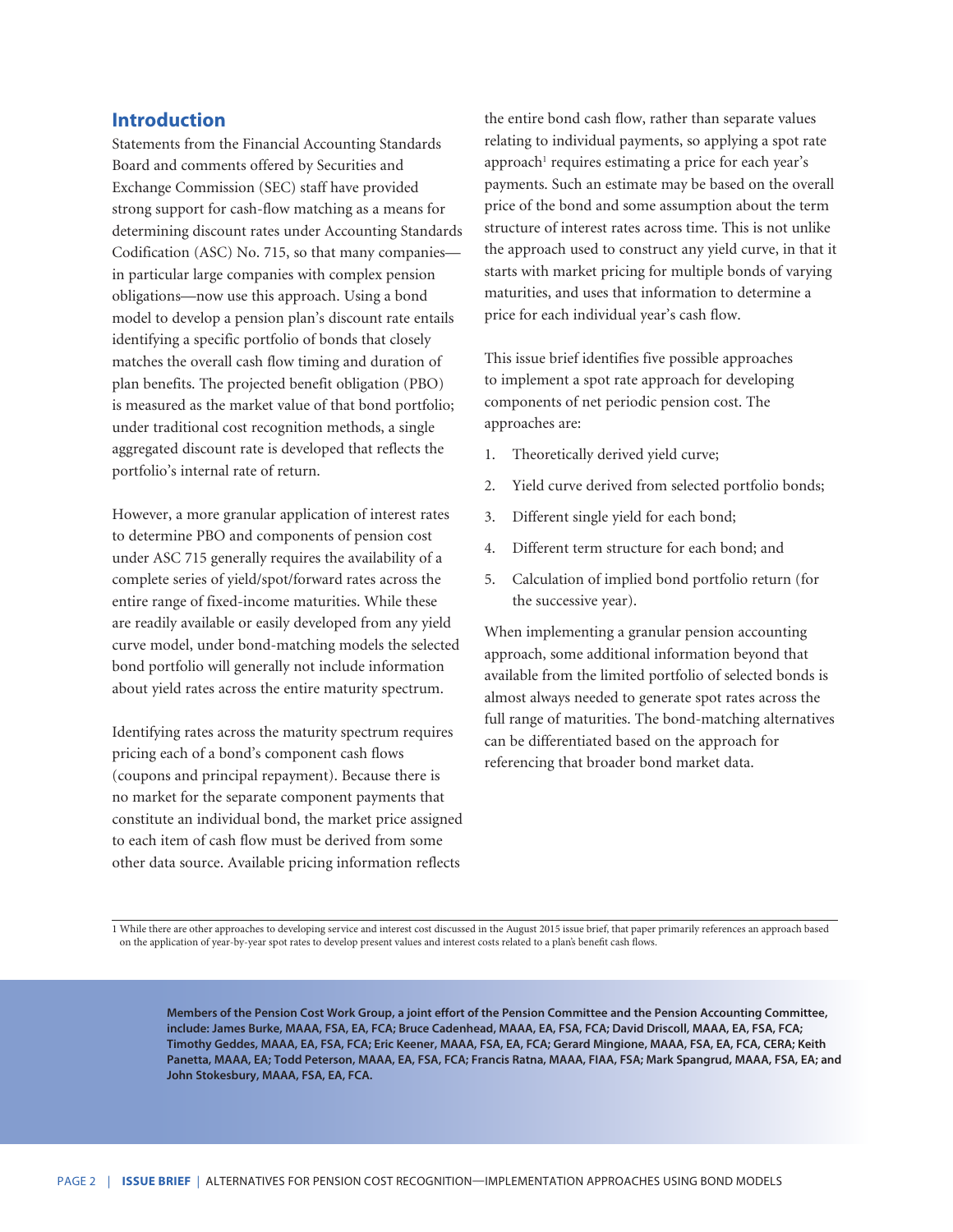# **Introduction**

Statements from the Financial Accounting Standards Board and comments offered by Securities and Exchange Commission (SEC) staff have provided strong support for cash-flow matching as a means for determining discount rates under Accounting Standards Codification (ASC) No. 715, so that many companies in particular large companies with complex pension obligations—now use this approach. Using a bond model to develop a pension plan's discount rate entails identifying a specific portfolio of bonds that closely matches the overall cash flow timing and duration of plan benefits. The projected benefit obligation (PBO) is measured as the market value of that bond portfolio; under traditional cost recognition methods, a single aggregated discount rate is developed that reflects the portfolio's internal rate of return.

However, a more granular application of interest rates to determine PBO and components of pension cost under ASC 715 generally requires the availability of a complete series of yield/spot/forward rates across the entire range of fixed-income maturities. While these are readily available or easily developed from any yield curve model, under bond-matching models the selected bond portfolio will generally not include information about yield rates across the entire maturity spectrum.

Identifying rates across the maturity spectrum requires pricing each of a bond's component cash flows (coupons and principal repayment). Because there is no market for the separate component payments that constitute an individual bond, the market price assigned to each item of cash flow must be derived from some other data source. Available pricing information reflects

the entire bond cash flow, rather than separate values relating to individual payments, so applying a spot rate approach<sup>1</sup> requires estimating a price for each year's payments. Such an estimate may be based on the overall price of the bond and some assumption about the term structure of interest rates across time. This is not unlike the approach used to construct any yield curve, in that it starts with market pricing for multiple bonds of varying maturities, and uses that information to determine a price for each individual year's cash flow.

This issue brief identifies five possible approaches to implement a spot rate approach for developing components of net periodic pension cost. The approaches are:

- 1. Theoretically derived yield curve;
- 2. Yield curve derived from selected portfolio bonds;
- 3. Different single yield for each bond;
- 4. Different term structure for each bond; and
- 5. Calculation of implied bond portfolio return (for the successive year).

When implementing a granular pension accounting approach, some additional information beyond that available from the limited portfolio of selected bonds is almost always needed to generate spot rates across the full range of maturities. The bond-matching alternatives can be differentiated based on the approach for referencing that broader bond market data.

1 While there are other approaches to developing service and interest cost discussed in the August 2015 issue brief, that paper primarily references an approach based on the application of year-by-year spot rates to develop present values and interest costs related to a plan's benefit cash flows.

**Members of the Pension Cost Work Group, a joint effort of the Pension Committee and the Pension Accounting Committee, include: James Burke, MAAA, FSA, EA, FCA; Bruce Cadenhead, MAAA, EA, FSA, FCA; David Driscoll, MAAA, EA, FSA, FCA; Timothy Geddes, MAAA, EA, FSA, FCA; Eric Keener, MAAA, FSA, EA, FCA; Gerard Mingione, MAAA, FSA, EA, FCA, CERA; Keith Panetta, MAAA, EA; Todd Peterson, MAAA, EA, FSA, FCA; Francis Ratna, MAAA, FIAA, FSA; Mark Spangrud, MAAA, FSA, EA; and John Stokesbury, MAAA, FSA, EA, FCA.**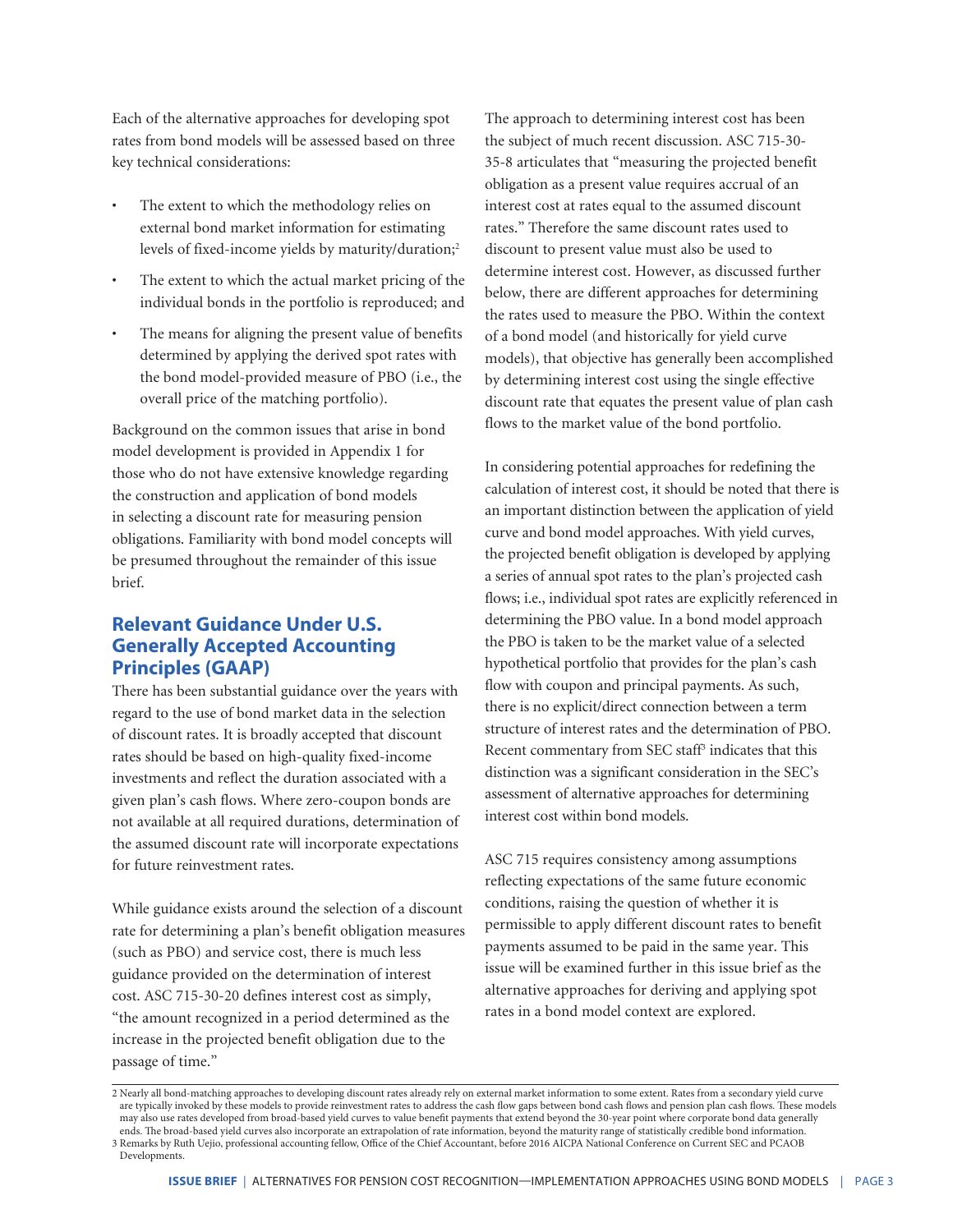Each of the alternative approaches for developing spot rates from bond models will be assessed based on three key technical considerations:

- The extent to which the methodology relies on external bond market information for estimating levels of fixed-income yields by maturity/duration;<sup>2</sup>
- The extent to which the actual market pricing of the individual bonds in the portfolio is reproduced; and
- The means for aligning the present value of benefits determined by applying the derived spot rates with the bond model-provided measure of PBO (i.e., the overall price of the matching portfolio).

Background on the common issues that arise in bond model development is provided in Appendix 1 for those who do not have extensive knowledge regarding the construction and application of bond models in selecting a discount rate for measuring pension obligations. Familiarity with bond model concepts will be presumed throughout the remainder of this issue brief.

# **Relevant Guidance Under U.S. Generally Accepted Accounting Principles (GAAP)**

There has been substantial guidance over the years with regard to the use of bond market data in the selection of discount rates. It is broadly accepted that discount rates should be based on high-quality fixed-income investments and reflect the duration associated with a given plan's cash flows. Where zero-coupon bonds are not available at all required durations, determination of the assumed discount rate will incorporate expectations for future reinvestment rates.

While guidance exists around the selection of a discount rate for determining a plan's benefit obligation measures (such as PBO) and service cost, there is much less guidance provided on the determination of interest cost. ASC 715-30-20 defines interest cost as simply, "the amount recognized in a period determined as the increase in the projected benefit obligation due to the passage of time."

The approach to determining interest cost has been the subject of much recent discussion. ASC 715-30- 35-8 articulates that "measuring the projected benefit obligation as a present value requires accrual of an interest cost at rates equal to the assumed discount rates." Therefore the same discount rates used to discount to present value must also be used to determine interest cost. However, as discussed further below, there are different approaches for determining the rates used to measure the PBO. Within the context of a bond model (and historically for yield curve models), that objective has generally been accomplished by determining interest cost using the single effective discount rate that equates the present value of plan cash flows to the market value of the bond portfolio.

In considering potential approaches for redefining the calculation of interest cost, it should be noted that there is an important distinction between the application of yield curve and bond model approaches. With yield curves, the projected benefit obligation is developed by applying a series of annual spot rates to the plan's projected cash flows; i.e., individual spot rates are explicitly referenced in determining the PBO value. In a bond model approach the PBO is taken to be the market value of a selected hypothetical portfolio that provides for the plan's cash flow with coupon and principal payments. As such, there is no explicit/direct connection between a term structure of interest rates and the determination of PBO. Recent commentary from SEC staff<sup>3</sup> indicates that this distinction was a significant consideration in the SEC's assessment of alternative approaches for determining interest cost within bond models.

ASC 715 requires consistency among assumptions reflecting expectations of the same future economic conditions, raising the question of whether it is permissible to apply different discount rates to benefit payments assumed to be paid in the same year. This issue will be examined further in this issue brief as the alternative approaches for deriving and applying spot rates in a bond model context are explored.

<sup>2</sup> Nearly all bond-matching approaches to developing discount rates already rely on external market information to some extent. Rates from a secondary yield curve are typically invoked by these models to provide reinvestment rates to address the cash flow gaps between bond cash flows and pension plan cash flows. These models may also use rates developed from broad-based yield curves to value benefit payments that extend beyond the 30-year point where corporate bond data generally ends. The broad-based yield curves also incorporate an extrapolation of rate information, beyond the maturity range of statistically credible bond information. 3 Remarks by Ruth Uejio, professional accounting fellow, Office of the Chief Accountant, before 2016 AICPA National Conference on Current SEC and PCAOB Developments.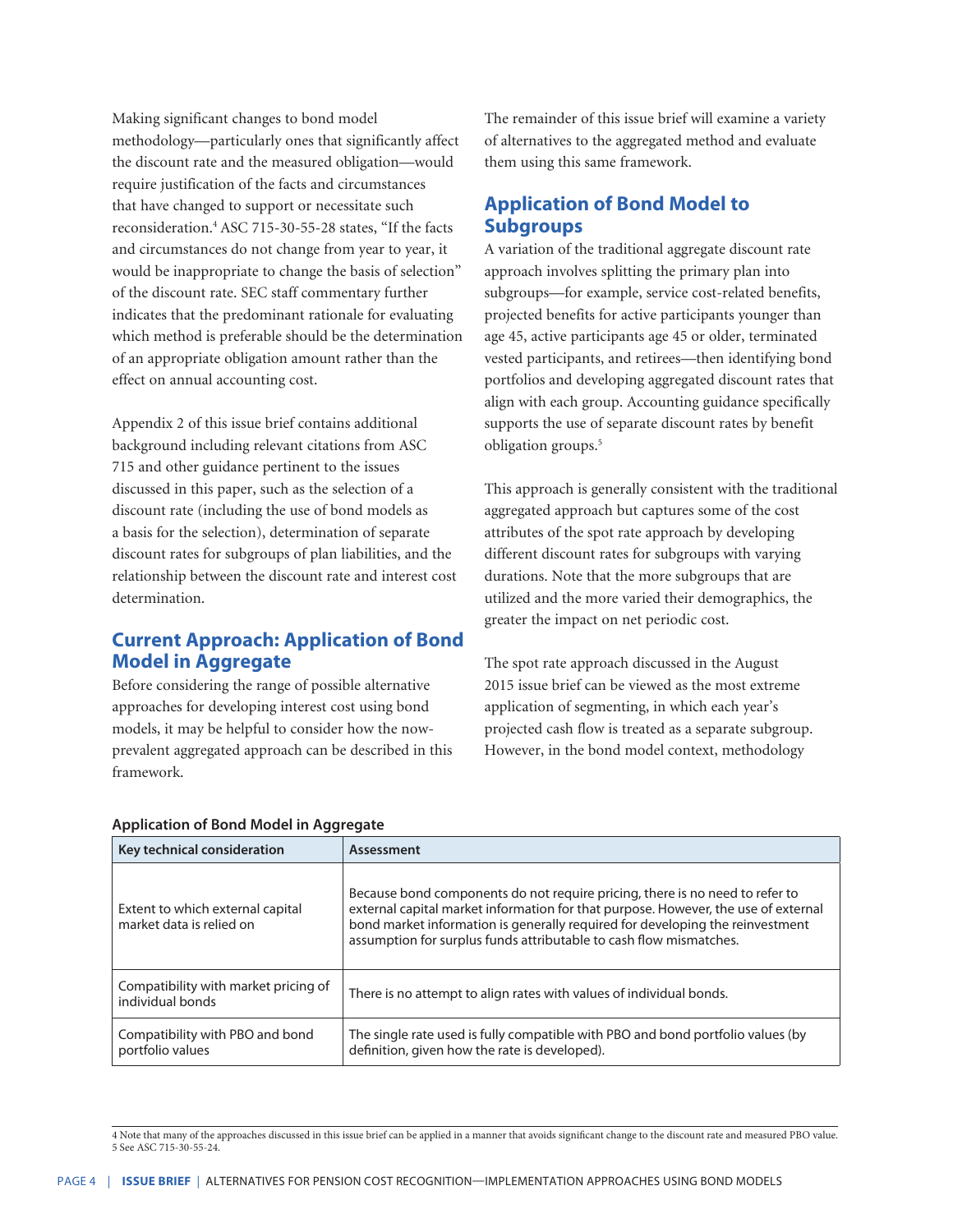Making significant changes to bond model methodology—particularly ones that significantly affect the discount rate and the measured obligation—would require justification of the facts and circumstances that have changed to support or necessitate such reconsideration.4 ASC 715-30-55-28 states, "If the facts and circumstances do not change from year to year, it would be inappropriate to change the basis of selection" of the discount rate. SEC staff commentary further indicates that the predominant rationale for evaluating which method is preferable should be the determination of an appropriate obligation amount rather than the effect on annual accounting cost.

Appendix 2 of this issue brief contains additional background including relevant citations from ASC 715 and other guidance pertinent to the issues discussed in this paper, such as the selection of a discount rate (including the use of bond models as a basis for the selection), determination of separate discount rates for subgroups of plan liabilities, and the relationship between the discount rate and interest cost determination.

# **Current Approach: Application of Bond Model in Aggregate**

Before considering the range of possible alternative approaches for developing interest cost using bond models, it may be helpful to consider how the nowprevalent aggregated approach can be described in this framework.

The remainder of this issue brief will examine a variety of alternatives to the aggregated method and evaluate them using this same framework.

# **Application of Bond Model to Subgroups**

A variation of the traditional aggregate discount rate approach involves splitting the primary plan into subgroups—for example, service cost-related benefits, projected benefits for active participants younger than age 45, active participants age 45 or older, terminated vested participants, and retirees—then identifying bond portfolios and developing aggregated discount rates that align with each group. Accounting guidance specifically supports the use of separate discount rates by benefit obligation groups.<sup>5</sup>

This approach is generally consistent with the traditional aggregated approach but captures some of the cost attributes of the spot rate approach by developing different discount rates for subgroups with varying durations. Note that the more subgroups that are utilized and the more varied their demographics, the greater the impact on net periodic cost.

The spot rate approach discussed in the August 2015 issue brief can be viewed as the most extreme application of segmenting, in which each year's projected cash flow is treated as a separate subgroup. However, in the bond model context, methodology

| Key technical consideration                                  | Assessment                                                                                                                                                                                                                                                                                                                |
|--------------------------------------------------------------|---------------------------------------------------------------------------------------------------------------------------------------------------------------------------------------------------------------------------------------------------------------------------------------------------------------------------|
| Extent to which external capital<br>market data is relied on | Because bond components do not require pricing, there is no need to refer to<br>external capital market information for that purpose. However, the use of external<br>bond market information is generally required for developing the reinvestment<br>assumption for surplus funds attributable to cash flow mismatches. |
| Compatibility with market pricing of<br>individual bonds     | There is no attempt to align rates with values of individual bonds.                                                                                                                                                                                                                                                       |
| Compatibility with PBO and bond<br>portfolio values          | The single rate used is fully compatible with PBO and bond portfolio values (by<br>definition, given how the rate is developed).                                                                                                                                                                                          |

#### **Application of Bond Model in Aggregate**

<sup>4</sup> Note that many of the approaches discussed in this issue brief can be applied in a manner that avoids significant change to the discount rate and measured PBO value. 5 See ASC 715-30-55-24.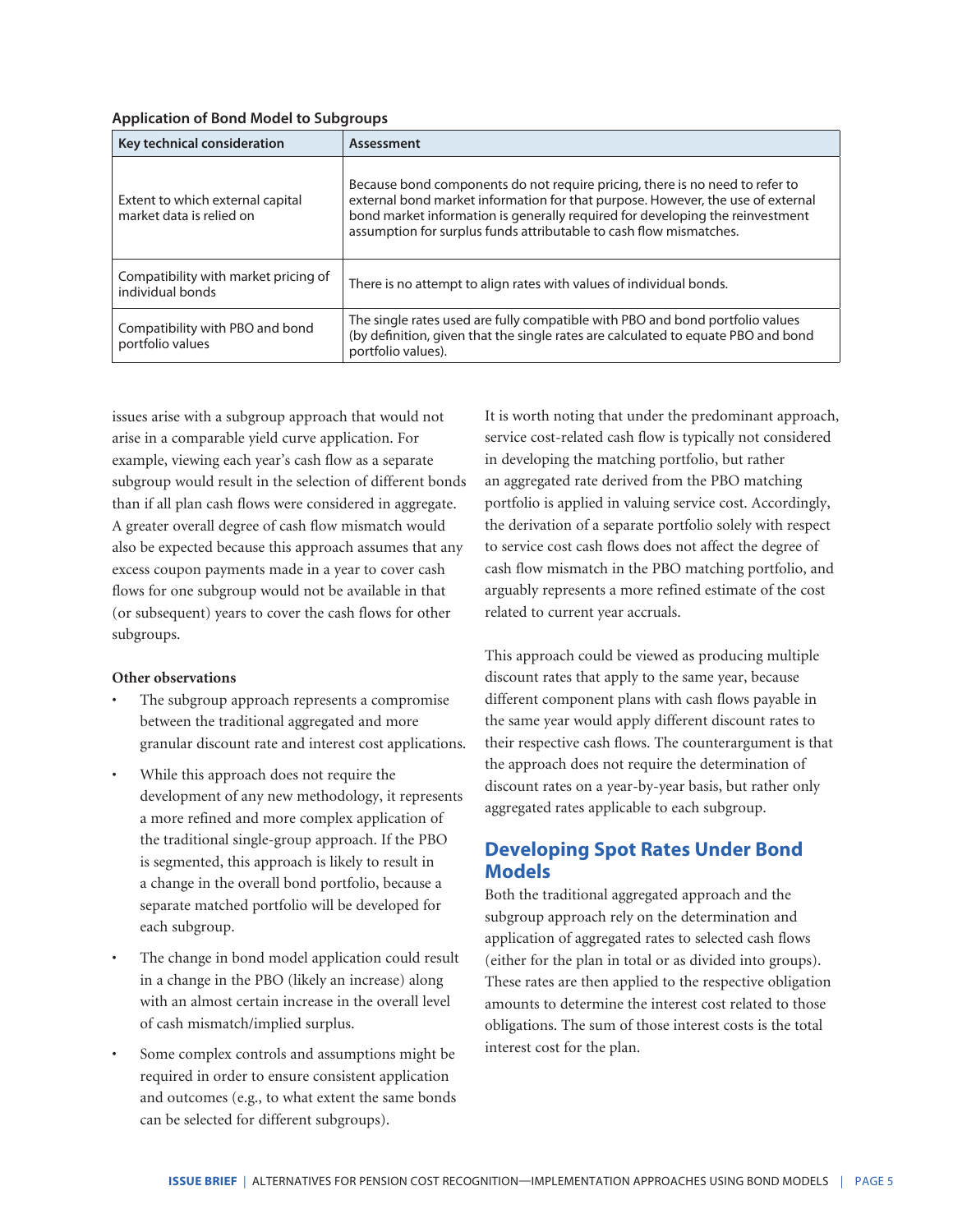| Key technical consideration                                  | Assessment                                                                                                                                                                                                                                                                                                             |  |
|--------------------------------------------------------------|------------------------------------------------------------------------------------------------------------------------------------------------------------------------------------------------------------------------------------------------------------------------------------------------------------------------|--|
| Extent to which external capital<br>market data is relied on | Because bond components do not require pricing, there is no need to refer to<br>external bond market information for that purpose. However, the use of external<br>bond market information is generally required for developing the reinvestment<br>assumption for surplus funds attributable to cash flow mismatches. |  |
| Compatibility with market pricing of<br>individual bonds     | There is no attempt to align rates with values of individual bonds.                                                                                                                                                                                                                                                    |  |
| Compatibility with PBO and bond<br>portfolio values          | The single rates used are fully compatible with PBO and bond portfolio values<br>(by definition, given that the single rates are calculated to equate PBO and bond<br>portfolio values).                                                                                                                               |  |

issues arise with a subgroup approach that would not arise in a comparable yield curve application. For example, viewing each year's cash flow as a separate subgroup would result in the selection of different bonds than if all plan cash flows were considered in aggregate. A greater overall degree of cash flow mismatch would also be expected because this approach assumes that any excess coupon payments made in a year to cover cash flows for one subgroup would not be available in that (or subsequent) years to cover the cash flows for other subgroups.

#### **Other observations**

- The subgroup approach represents a compromise between the traditional aggregated and more granular discount rate and interest cost applications.
- While this approach does not require the development of any new methodology, it represents a more refined and more complex application of the traditional single-group approach. If the PBO is segmented, this approach is likely to result in a change in the overall bond portfolio, because a separate matched portfolio will be developed for each subgroup.
- The change in bond model application could result in a change in the PBO (likely an increase) along with an almost certain increase in the overall level of cash mismatch/implied surplus.
- Some complex controls and assumptions might be required in order to ensure consistent application and outcomes (e.g., to what extent the same bonds can be selected for different subgroups).

It is worth noting that under the predominant approach, service cost-related cash flow is typically not considered in developing the matching portfolio, but rather an aggregated rate derived from the PBO matching portfolio is applied in valuing service cost. Accordingly, the derivation of a separate portfolio solely with respect to service cost cash flows does not affect the degree of cash flow mismatch in the PBO matching portfolio, and arguably represents a more refined estimate of the cost related to current year accruals.

This approach could be viewed as producing multiple discount rates that apply to the same year, because different component plans with cash flows payable in the same year would apply different discount rates to their respective cash flows. The counterargument is that the approach does not require the determination of discount rates on a year-by-year basis, but rather only aggregated rates applicable to each subgroup.

# **Developing Spot Rates Under Bond Models**

Both the traditional aggregated approach and the subgroup approach rely on the determination and application of aggregated rates to selected cash flows (either for the plan in total or as divided into groups). These rates are then applied to the respective obligation amounts to determine the interest cost related to those obligations. The sum of those interest costs is the total interest cost for the plan.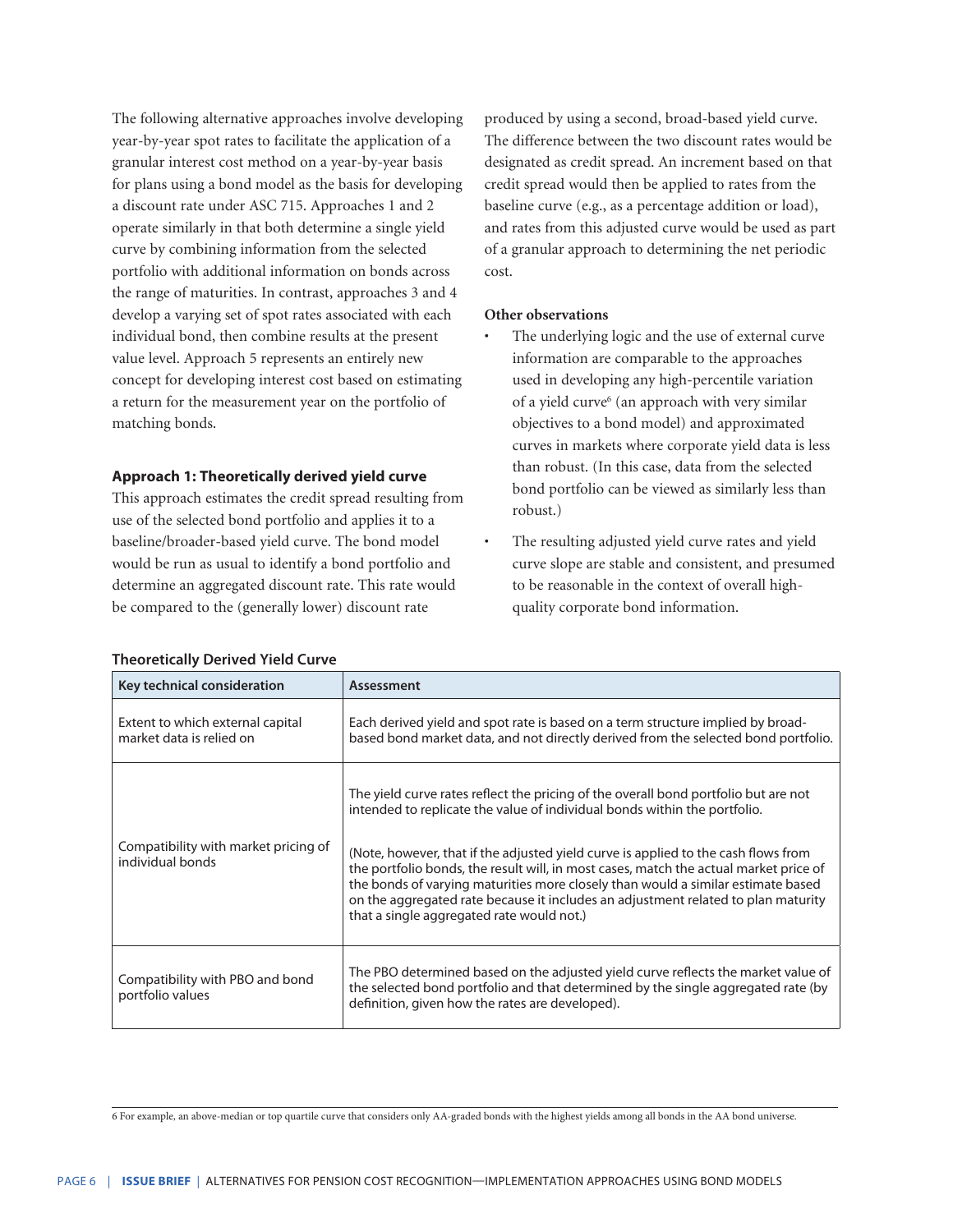The following alternative approaches involve developing year-by-year spot rates to facilitate the application of a granular interest cost method on a year-by-year basis for plans using a bond model as the basis for developing a discount rate under ASC 715. Approaches 1 and 2 operate similarly in that both determine a single yield curve by combining information from the selected portfolio with additional information on bonds across the range of maturities. In contrast, approaches 3 and 4 develop a varying set of spot rates associated with each individual bond, then combine results at the present value level. Approach 5 represents an entirely new concept for developing interest cost based on estimating a return for the measurement year on the portfolio of matching bonds.

#### **Approach 1: Theoretically derived yield curve**

This approach estimates the credit spread resulting from use of the selected bond portfolio and applies it to a baseline/broader-based yield curve. The bond model would be run as usual to identify a bond portfolio and determine an aggregated discount rate. This rate would be compared to the (generally lower) discount rate

produced by using a second, broad-based yield curve. The difference between the two discount rates would be designated as credit spread. An increment based on that credit spread would then be applied to rates from the baseline curve (e.g., as a percentage addition or load), and rates from this adjusted curve would be used as part of a granular approach to determining the net periodic cost.

#### **Other observations**

- The underlying logic and the use of external curve information are comparable to the approaches used in developing any high-percentile variation of a yield curve<sup>6</sup> (an approach with very similar objectives to a bond model) and approximated curves in markets where corporate yield data is less than robust. (In this case, data from the selected bond portfolio can be viewed as similarly less than robust.)
- The resulting adjusted yield curve rates and yield curve slope are stable and consistent, and presumed to be reasonable in the context of overall highquality corporate bond information.

| Key technical consideration                                  | Assessment                                                                                                                                                                                                                                                                                                                                                                                        |
|--------------------------------------------------------------|---------------------------------------------------------------------------------------------------------------------------------------------------------------------------------------------------------------------------------------------------------------------------------------------------------------------------------------------------------------------------------------------------|
| Extent to which external capital<br>market data is relied on | Each derived yield and spot rate is based on a term structure implied by broad-<br>based bond market data, and not directly derived from the selected bond portfolio.                                                                                                                                                                                                                             |
|                                                              | The yield curve rates reflect the pricing of the overall bond portfolio but are not<br>intended to replicate the value of individual bonds within the portfolio.                                                                                                                                                                                                                                  |
| Compatibility with market pricing of<br>individual bonds     | (Note, however, that if the adjusted yield curve is applied to the cash flows from<br>the portfolio bonds, the result will, in most cases, match the actual market price of<br>the bonds of varying maturities more closely than would a similar estimate based<br>on the aggregated rate because it includes an adjustment related to plan maturity<br>that a single aggregated rate would not.) |
| Compatibility with PBO and bond<br>portfolio values          | The PBO determined based on the adjusted yield curve reflects the market value of<br>the selected bond portfolio and that determined by the single aggregated rate (by<br>definition, given how the rates are developed).                                                                                                                                                                         |

#### **Theoretically Derived Yield Curve**

6 For example, an above-median or top quartile curve that considers only AA-graded bonds with the highest yields among all bonds in the AA bond universe.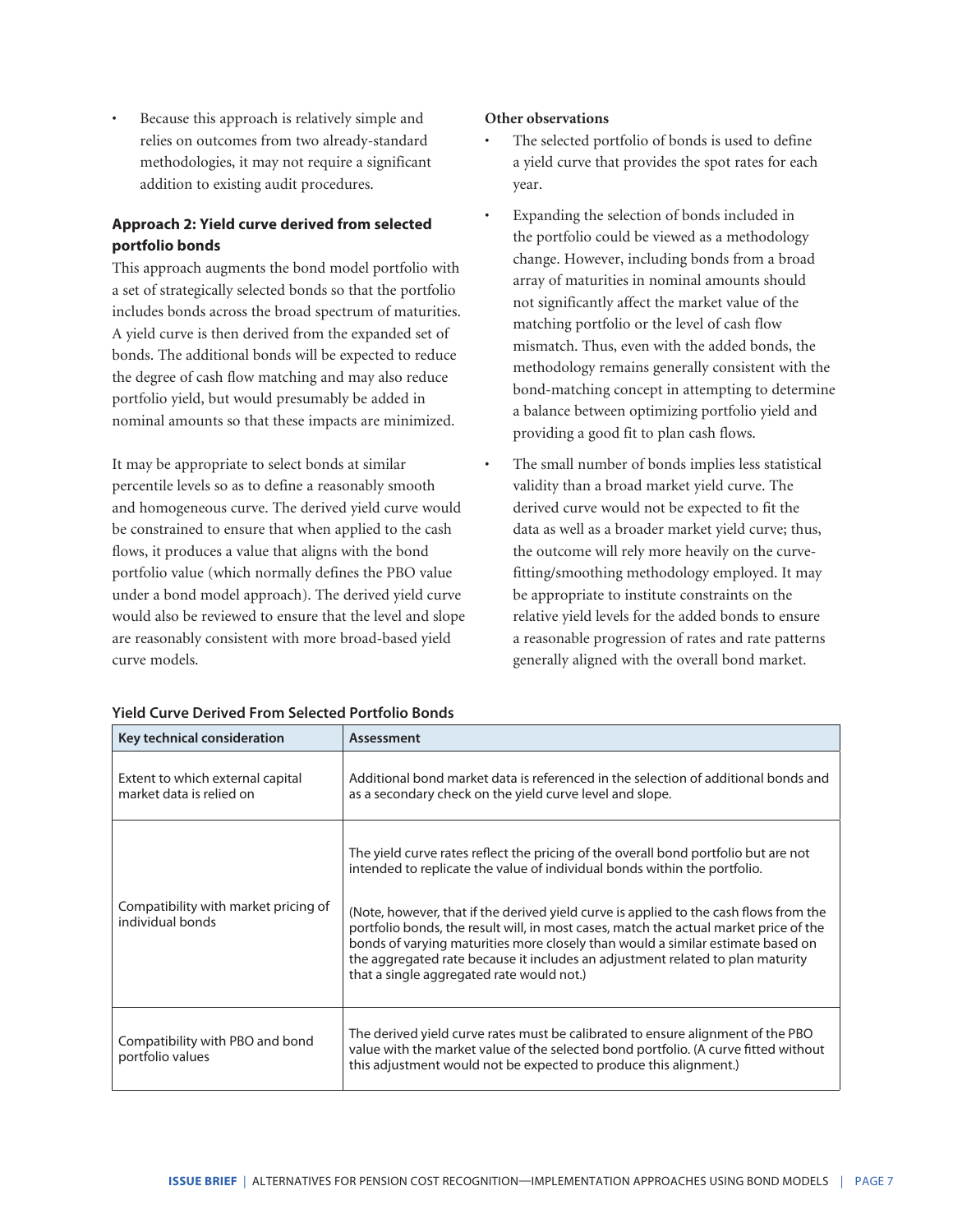Because this approach is relatively simple and relies on outcomes from two already-standard methodologies, it may not require a significant addition to existing audit procedures.

# **Approach 2: Yield curve derived from selected portfolio bonds**

This approach augments the bond model portfolio with a set of strategically selected bonds so that the portfolio includes bonds across the broad spectrum of maturities. A yield curve is then derived from the expanded set of bonds. The additional bonds will be expected to reduce the degree of cash flow matching and may also reduce portfolio yield, but would presumably be added in nominal amounts so that these impacts are minimized.

It may be appropriate to select bonds at similar percentile levels so as to define a reasonably smooth and homogeneous curve. The derived yield curve would be constrained to ensure that when applied to the cash flows, it produces a value that aligns with the bond portfolio value (which normally defines the PBO value under a bond model approach). The derived yield curve would also be reviewed to ensure that the level and slope are reasonably consistent with more broad-based yield curve models.

#### **Other observations**

- The selected portfolio of bonds is used to define a yield curve that provides the spot rates for each year.
- Expanding the selection of bonds included in the portfolio could be viewed as a methodology change. However, including bonds from a broad array of maturities in nominal amounts should not significantly affect the market value of the matching portfolio or the level of cash flow mismatch. Thus, even with the added bonds, the methodology remains generally consistent with the bond-matching concept in attempting to determine a balance between optimizing portfolio yield and providing a good fit to plan cash flows.
- The small number of bonds implies less statistical validity than a broad market yield curve. The derived curve would not be expected to fit the data as well as a broader market yield curve; thus, the outcome will rely more heavily on the curvefitting/smoothing methodology employed. It may be appropriate to institute constraints on the relative yield levels for the added bonds to ensure a reasonable progression of rates and rate patterns generally aligned with the overall bond market.

| Key technical consideration                                  | Assessment                                                                                                                                                                                                                                                                                                                                                                                                                                                                                                                                                           |
|--------------------------------------------------------------|----------------------------------------------------------------------------------------------------------------------------------------------------------------------------------------------------------------------------------------------------------------------------------------------------------------------------------------------------------------------------------------------------------------------------------------------------------------------------------------------------------------------------------------------------------------------|
| Extent to which external capital<br>market data is relied on | Additional bond market data is referenced in the selection of additional bonds and<br>as a secondary check on the yield curve level and slope.                                                                                                                                                                                                                                                                                                                                                                                                                       |
| Compatibility with market pricing of<br>individual bonds     | The yield curve rates reflect the pricing of the overall bond portfolio but are not<br>intended to replicate the value of individual bonds within the portfolio.<br>(Note, however, that if the derived yield curve is applied to the cash flows from the<br>portfolio bonds, the result will, in most cases, match the actual market price of the<br>bonds of varying maturities more closely than would a similar estimate based on<br>the aggregated rate because it includes an adjustment related to plan maturity<br>that a single aggregated rate would not.) |
| Compatibility with PBO and bond<br>portfolio values          | The derived yield curve rates must be calibrated to ensure alignment of the PBO<br>value with the market value of the selected bond portfolio. (A curve fitted without<br>this adjustment would not be expected to produce this alignment.)                                                                                                                                                                                                                                                                                                                          |

#### **Yield Curve Derived From Selected Portfolio Bonds**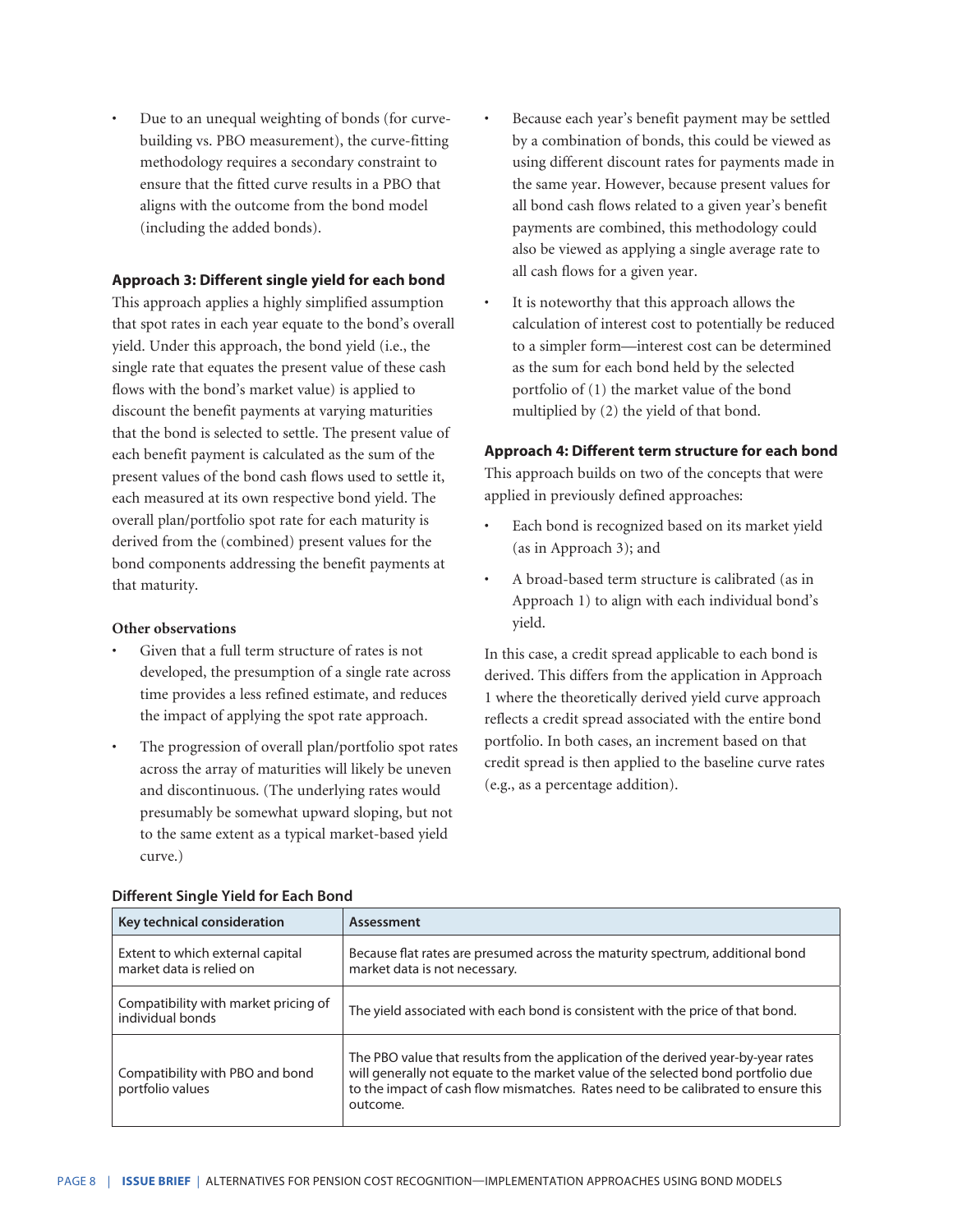• Due to an unequal weighting of bonds (for curvebuilding vs. PBO measurement), the curve-fitting methodology requires a secondary constraint to ensure that the fitted curve results in a PBO that aligns with the outcome from the bond model (including the added bonds).

#### **Approach 3: Different single yield for each bond**

This approach applies a highly simplified assumption that spot rates in each year equate to the bond's overall yield. Under this approach, the bond yield (i.e., the single rate that equates the present value of these cash flows with the bond's market value) is applied to discount the benefit payments at varying maturities that the bond is selected to settle. The present value of each benefit payment is calculated as the sum of the present values of the bond cash flows used to settle it, each measured at its own respective bond yield. The overall plan/portfolio spot rate for each maturity is derived from the (combined) present values for the bond components addressing the benefit payments at that maturity.

#### **Other observations**

- Given that a full term structure of rates is not developed, the presumption of a single rate across time provides a less refined estimate, and reduces the impact of applying the spot rate approach.
- The progression of overall plan/portfolio spot rates across the array of maturities will likely be uneven and discontinuous. (The underlying rates would presumably be somewhat upward sloping, but not to the same extent as a typical market-based yield curve.)
- Because each year's benefit payment may be settled by a combination of bonds, this could be viewed as using different discount rates for payments made in the same year. However, because present values for all bond cash flows related to a given year's benefit payments are combined, this methodology could also be viewed as applying a single average rate to all cash flows for a given year.
- It is noteworthy that this approach allows the calculation of interest cost to potentially be reduced to a simpler form—interest cost can be determined as the sum for each bond held by the selected portfolio of (1) the market value of the bond multiplied by (2) the yield of that bond.

#### **Approach 4: Different term structure for each bond**

This approach builds on two of the concepts that were applied in previously defined approaches:

- Each bond is recognized based on its market yield (as in Approach 3); and
- A broad-based term structure is calibrated (as in Approach 1) to align with each individual bond's yield.

In this case, a credit spread applicable to each bond is derived. This differs from the application in Approach 1 where the theoretically derived yield curve approach reflects a credit spread associated with the entire bond portfolio. In both cases, an increment based on that credit spread is then applied to the baseline curve rates (e.g., as a percentage addition).

| Key technical consideration                                  | Assessment                                                                                                                                                                                                                                                             |
|--------------------------------------------------------------|------------------------------------------------------------------------------------------------------------------------------------------------------------------------------------------------------------------------------------------------------------------------|
| Extent to which external capital<br>market data is relied on | Because flat rates are presumed across the maturity spectrum, additional bond<br>market data is not necessary.                                                                                                                                                         |
| Compatibility with market pricing of<br>individual bonds     | The yield associated with each bond is consistent with the price of that bond.                                                                                                                                                                                         |
| Compatibility with PBO and bond<br>portfolio values          | The PBO value that results from the application of the derived year-by-year rates<br>will generally not equate to the market value of the selected bond portfolio due<br>to the impact of cash flow mismatches. Rates need to be calibrated to ensure this<br>outcome. |

#### **Different Single Yield for Each Bond**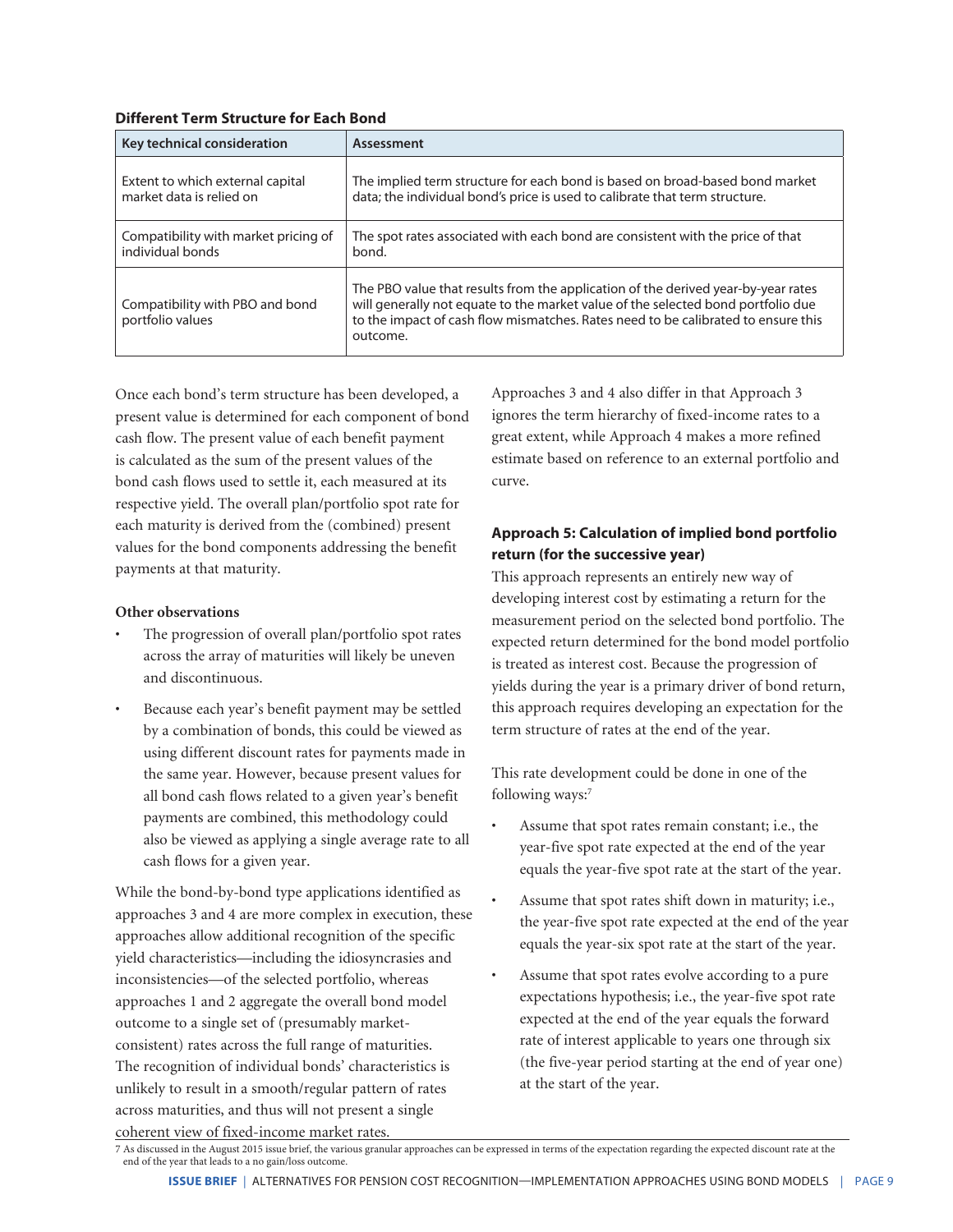| Key technical consideration                         | Assessment                                                                                                                                                                                                                                                             |
|-----------------------------------------------------|------------------------------------------------------------------------------------------------------------------------------------------------------------------------------------------------------------------------------------------------------------------------|
| Extent to which external capital                    | The implied term structure for each bond is based on broad-based bond market                                                                                                                                                                                           |
| market data is relied on                            | data; the individual bond's price is used to calibrate that term structure.                                                                                                                                                                                            |
| Compatibility with market pricing of                | The spot rates associated with each bond are consistent with the price of that                                                                                                                                                                                         |
| individual bonds                                    | bond.                                                                                                                                                                                                                                                                  |
| Compatibility with PBO and bond<br>portfolio values | The PBO value that results from the application of the derived year-by-year rates<br>will generally not equate to the market value of the selected bond portfolio due<br>to the impact of cash flow mismatches. Rates need to be calibrated to ensure this<br>outcome. |

Once each bond's term structure has been developed, a present value is determined for each component of bond cash flow. The present value of each benefit payment is calculated as the sum of the present values of the bond cash flows used to settle it, each measured at its respective yield. The overall plan/portfolio spot rate for each maturity is derived from the (combined) present values for the bond components addressing the benefit payments at that maturity.

# **Other observations**

- The progression of overall plan/portfolio spot rates across the array of maturities will likely be uneven and discontinuous.
- Because each year's benefit payment may be settled by a combination of bonds, this could be viewed as using different discount rates for payments made in the same year. However, because present values for all bond cash flows related to a given year's benefit payments are combined, this methodology could also be viewed as applying a single average rate to all cash flows for a given year.

While the bond-by-bond type applications identified as approaches 3 and 4 are more complex in execution, these approaches allow additional recognition of the specific yield characteristics—including the idiosyncrasies and inconsistencies—of the selected portfolio, whereas approaches 1 and 2 aggregate the overall bond model outcome to a single set of (presumably marketconsistent) rates across the full range of maturities. The recognition of individual bonds' characteristics is unlikely to result in a smooth/regular pattern of rates across maturities, and thus will not present a single coherent view of fixed-income market rates.

Approaches 3 and 4 also differ in that Approach 3 ignores the term hierarchy of fixed-income rates to a great extent, while Approach 4 makes a more refined estimate based on reference to an external portfolio and curve.

# **Approach 5: Calculation of implied bond portfolio return (for the successive year)**

This approach represents an entirely new way of developing interest cost by estimating a return for the measurement period on the selected bond portfolio. The expected return determined for the bond model portfolio is treated as interest cost. Because the progression of yields during the year is a primary driver of bond return, this approach requires developing an expectation for the term structure of rates at the end of the year.

This rate development could be done in one of the following ways:7

- Assume that spot rates remain constant; i.e., the year-five spot rate expected at the end of the year equals the year-five spot rate at the start of the year.
- Assume that spot rates shift down in maturity; i.e., the year-five spot rate expected at the end of the year equals the year-six spot rate at the start of the year.
- Assume that spot rates evolve according to a pure expectations hypothesis; i.e., the year-five spot rate expected at the end of the year equals the forward rate of interest applicable to years one through six (the five-year period starting at the end of year one) at the start of the year.

<sup>7</sup> As discussed in the August 2015 issue brief, the various granular approaches can be expressed in terms of the expectation regarding the expected discount rate at the end of the year that leads to a no gain/loss outcome.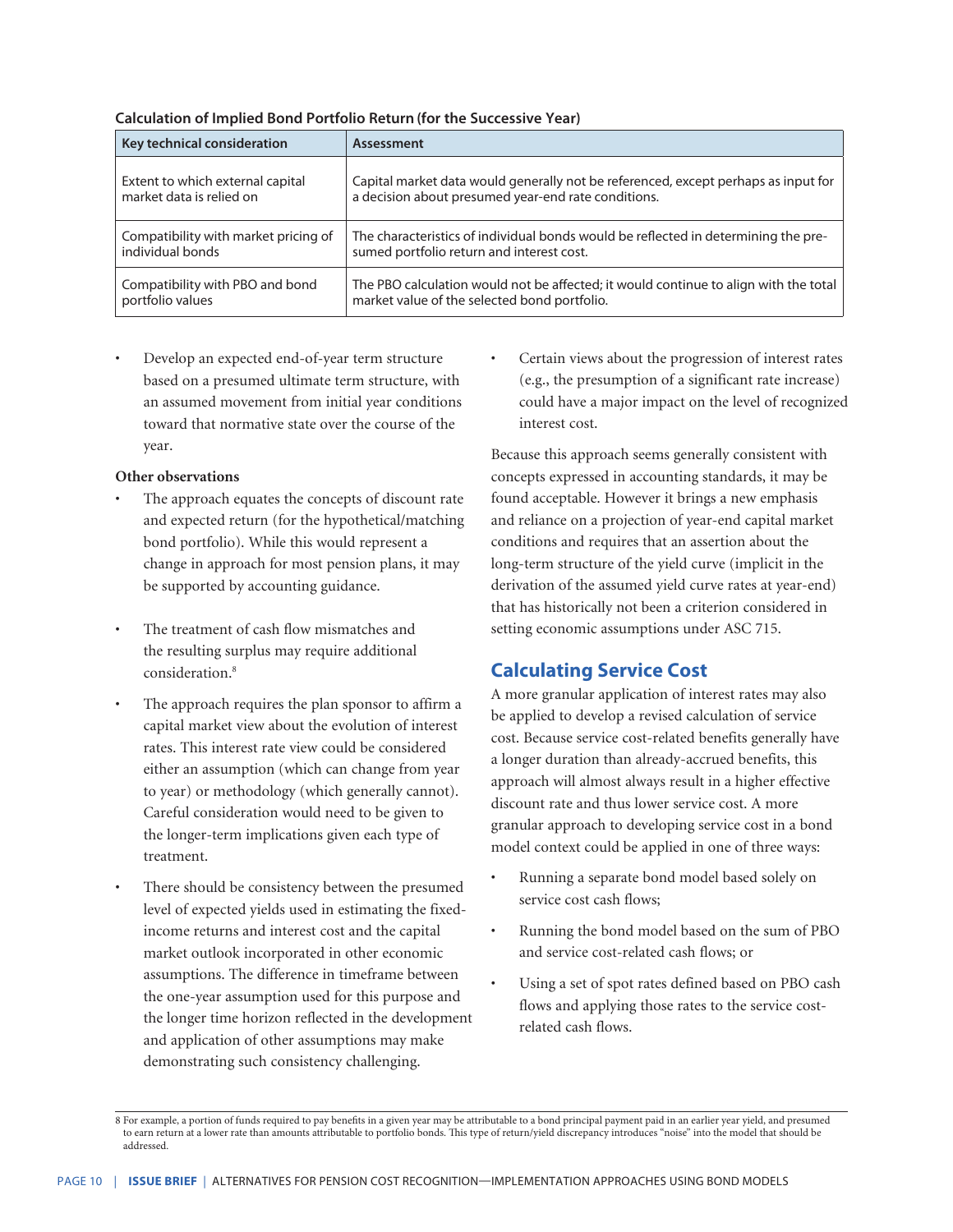| Key technical consideration          | Assessment                                                                           |
|--------------------------------------|--------------------------------------------------------------------------------------|
| Extent to which external capital     | Capital market data would generally not be referenced, except perhaps as input for   |
| market data is relied on             | a decision about presumed year-end rate conditions.                                  |
| Compatibility with market pricing of | The characteristics of individual bonds would be reflected in determining the pre-   |
| individual bonds                     | sumed portfolio return and interest cost.                                            |
| Compatibility with PBO and bond      | The PBO calculation would not be affected; it would continue to align with the total |
| portfolio values                     | market value of the selected bond portfolio.                                         |

#### **Calculation of Implied Bond Portfolio Return (for the Successive Year)**

Develop an expected end-of-year term structure based on a presumed ultimate term structure, with an assumed movement from initial year conditions toward that normative state over the course of the year.

#### **Other observations**

- The approach equates the concepts of discount rate and expected return (for the hypothetical/matching bond portfolio). While this would represent a change in approach for most pension plans, it may be supported by accounting guidance.
- The treatment of cash flow mismatches and the resulting surplus may require additional consideration.8
- The approach requires the plan sponsor to affirm a capital market view about the evolution of interest rates. This interest rate view could be considered either an assumption (which can change from year to year) or methodology (which generally cannot). Careful consideration would need to be given to the longer-term implications given each type of treatment.
	- There should be consistency between the presumed level of expected yields used in estimating the fixedincome returns and interest cost and the capital market outlook incorporated in other economic assumptions. The difference in timeframe between the one-year assumption used for this purpose and the longer time horizon reflected in the development and application of other assumptions may make demonstrating such consistency challenging.

• Certain views about the progression of interest rates (e.g., the presumption of a significant rate increase) could have a major impact on the level of recognized interest cost.

Because this approach seems generally consistent with concepts expressed in accounting standards, it may be found acceptable. However it brings a new emphasis and reliance on a projection of year-end capital market conditions and requires that an assertion about the long-term structure of the yield curve (implicit in the derivation of the assumed yield curve rates at year-end) that has historically not been a criterion considered in setting economic assumptions under ASC 715.

# **Calculating Service Cost**

A more granular application of interest rates may also be applied to develop a revised calculation of service cost. Because service cost-related benefits generally have a longer duration than already-accrued benefits, this approach will almost always result in a higher effective discount rate and thus lower service cost. A more granular approach to developing service cost in a bond model context could be applied in one of three ways:

- Running a separate bond model based solely on service cost cash flows;
- Running the bond model based on the sum of PBO and service cost-related cash flows; or
- Using a set of spot rates defined based on PBO cash flows and applying those rates to the service costrelated cash flows.

<sup>8</sup> For example, a portion of funds required to pay benefits in a given year may be attributable to a bond principal payment paid in an earlier year yield, and presumed to earn return at a lower rate than amounts attributable to portfolio bonds. This type of return/yield discrepancy introduces "noise" into the model that should be addressed.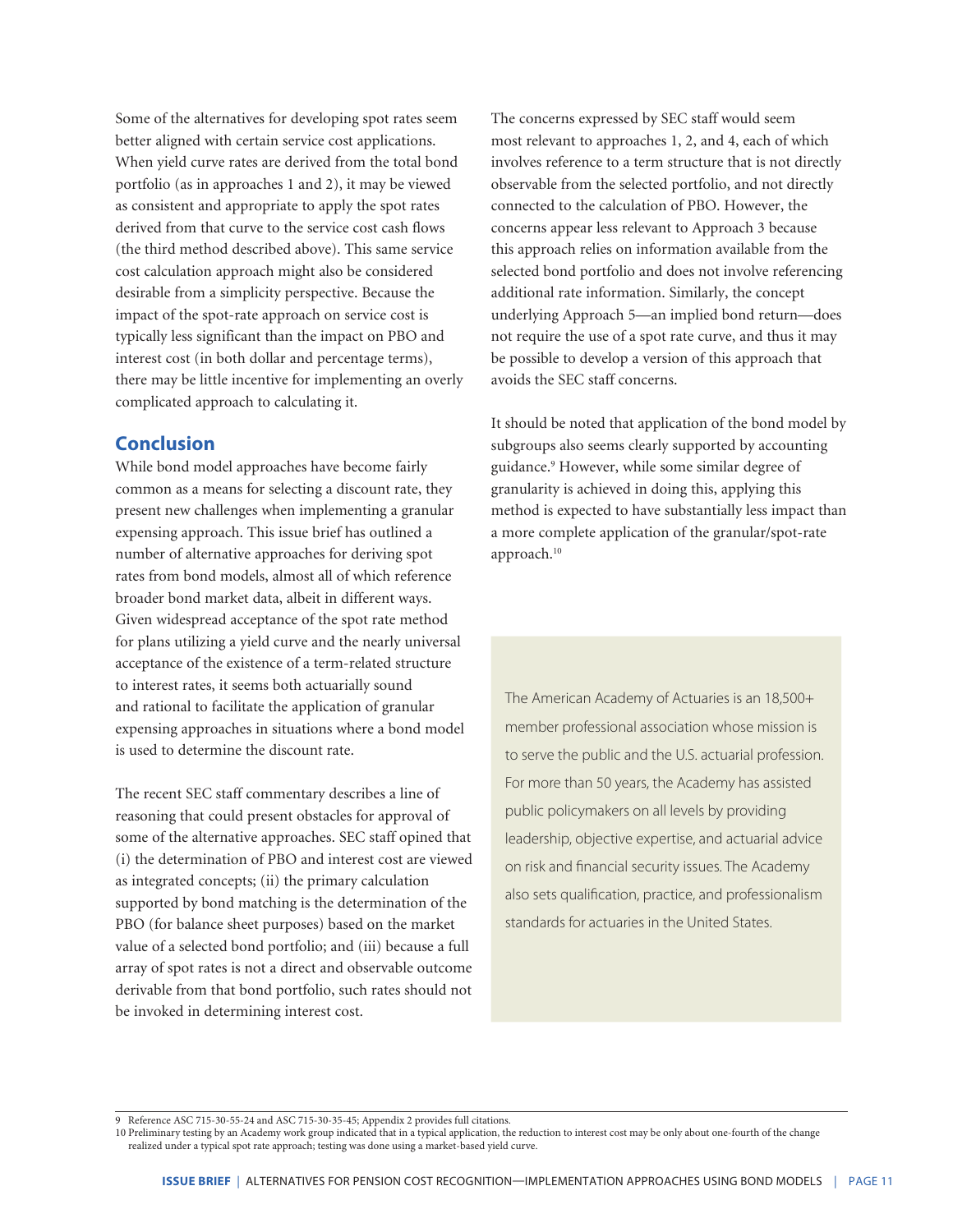Some of the alternatives for developing spot rates seem better aligned with certain service cost applications. When yield curve rates are derived from the total bond portfolio (as in approaches 1 and 2), it may be viewed as consistent and appropriate to apply the spot rates derived from that curve to the service cost cash flows (the third method described above). This same service cost calculation approach might also be considered desirable from a simplicity perspective. Because the impact of the spot-rate approach on service cost is typically less significant than the impact on PBO and interest cost (in both dollar and percentage terms), there may be little incentive for implementing an overly complicated approach to calculating it.

# **Conclusion**

While bond model approaches have become fairly common as a means for selecting a discount rate, they present new challenges when implementing a granular expensing approach. This issue brief has outlined a number of alternative approaches for deriving spot rates from bond models, almost all of which reference broader bond market data, albeit in different ways. Given widespread acceptance of the spot rate method for plans utilizing a yield curve and the nearly universal acceptance of the existence of a term-related structure to interest rates, it seems both actuarially sound and rational to facilitate the application of granular expensing approaches in situations where a bond model is used to determine the discount rate.

The recent SEC staff commentary describes a line of reasoning that could present obstacles for approval of some of the alternative approaches. SEC staff opined that (i) the determination of PBO and interest cost are viewed as integrated concepts; (ii) the primary calculation supported by bond matching is the determination of the PBO (for balance sheet purposes) based on the market value of a selected bond portfolio; and (iii) because a full array of spot rates is not a direct and observable outcome derivable from that bond portfolio, such rates should not be invoked in determining interest cost.

The concerns expressed by SEC staff would seem most relevant to approaches 1, 2, and 4, each of which involves reference to a term structure that is not directly observable from the selected portfolio, and not directly connected to the calculation of PBO. However, the concerns appear less relevant to Approach 3 because this approach relies on information available from the selected bond portfolio and does not involve referencing additional rate information. Similarly, the concept underlying Approach 5—an implied bond return—does not require the use of a spot rate curve, and thus it may be possible to develop a version of this approach that avoids the SEC staff concerns.

It should be noted that application of the bond model by subgroups also seems clearly supported by accounting guidance.9 However, while some similar degree of granularity is achieved in doing this, applying this method is expected to have substantially less impact than a more complete application of the granular/spot-rate approach.<sup>10</sup>

The American Academy of Actuaries is an 18,500+ member professional association whose mission is to serve the public and the U.S. actuarial profession. For more than 50 years, the Academy has assisted public policymakers on all levels by providing leadership, objective expertise, and actuarial advice on risk and financial security issues. The Academy also sets qualification, practice, and professionalism standards for actuaries in the United States.

9 Reference ASC 715-30-55-24 and ASC 715-30-35-45; Appendix 2 provides full citations.

10 Preliminary testing by an Academy work group indicated that in a typical application, the reduction to interest cost may be only about one-fourth of the change realized under a typical spot rate approach; testing was done using a market-based yield curve.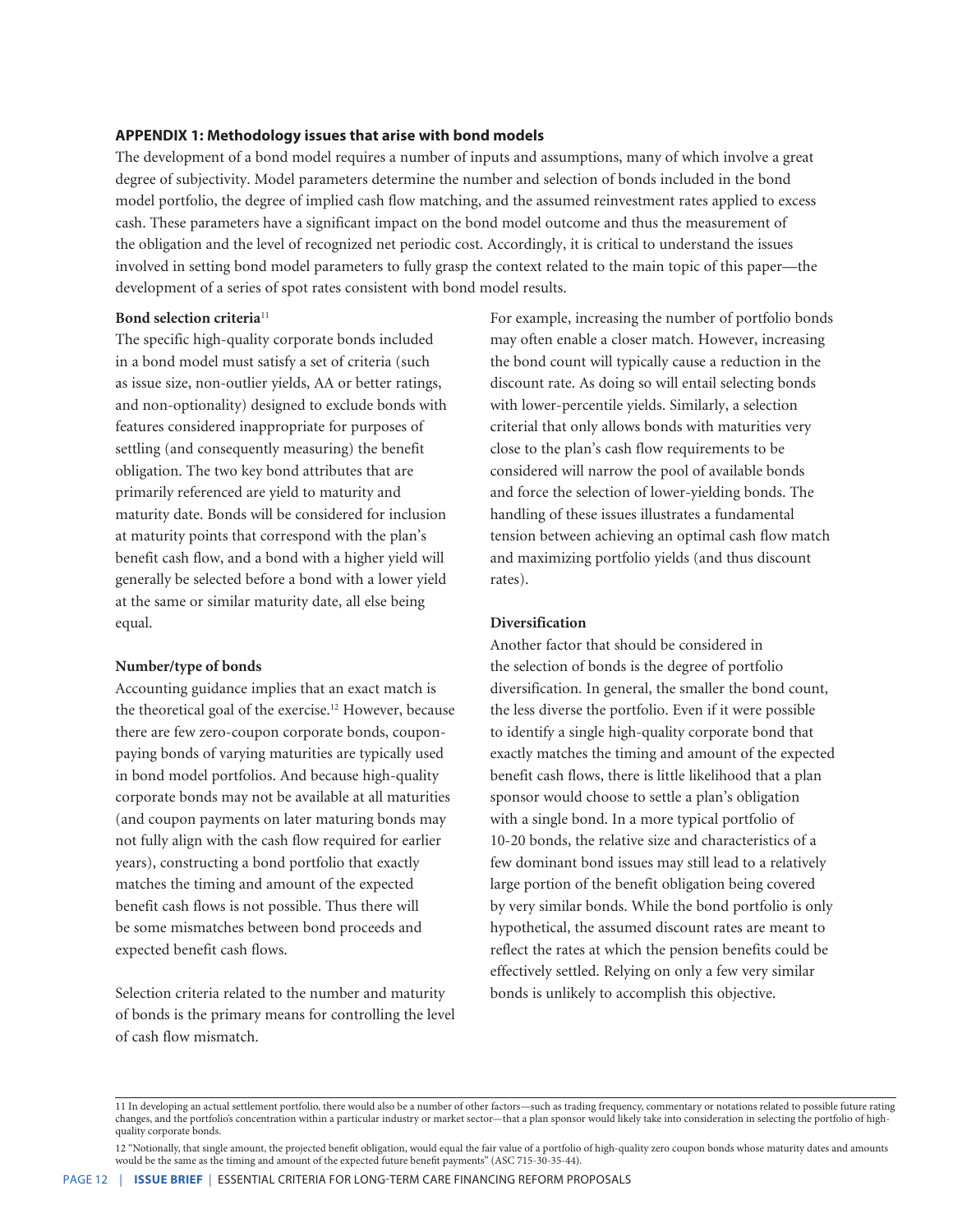#### **APPENDIX 1: Methodology issues that arise with bond models**

The development of a bond model requires a number of inputs and assumptions, many of which involve a great degree of subjectivity. Model parameters determine the number and selection of bonds included in the bond model portfolio, the degree of implied cash flow matching, and the assumed reinvestment rates applied to excess cash. These parameters have a significant impact on the bond model outcome and thus the measurement of the obligation and the level of recognized net periodic cost. Accordingly, it is critical to understand the issues involved in setting bond model parameters to fully grasp the context related to the main topic of this paper—the development of a series of spot rates consistent with bond model results.

# **Bond selection criteria**<sup>11</sup>

The specific high-quality corporate bonds included in a bond model must satisfy a set of criteria (such as issue size, non-outlier yields, AA or better ratings, and non-optionality) designed to exclude bonds with features considered inappropriate for purposes of settling (and consequently measuring) the benefit obligation. The two key bond attributes that are primarily referenced are yield to maturity and maturity date. Bonds will be considered for inclusion at maturity points that correspond with the plan's benefit cash flow, and a bond with a higher yield will generally be selected before a bond with a lower yield at the same or similar maturity date, all else being equal.

#### **Number/type of bonds**

Accounting guidance implies that an exact match is the theoretical goal of the exercise.<sup>12</sup> However, because there are few zero-coupon corporate bonds, couponpaying bonds of varying maturities are typically used in bond model portfolios. And because high-quality corporate bonds may not be available at all maturities (and coupon payments on later maturing bonds may not fully align with the cash flow required for earlier years), constructing a bond portfolio that exactly matches the timing and amount of the expected benefit cash flows is not possible. Thus there will be some mismatches between bond proceeds and expected benefit cash flows.

Selection criteria related to the number and maturity of bonds is the primary means for controlling the level of cash flow mismatch.

For example, increasing the number of portfolio bonds may often enable a closer match. However, increasing the bond count will typically cause a reduction in the discount rate. As doing so will entail selecting bonds with lower-percentile yields. Similarly, a selection criterial that only allows bonds with maturities very close to the plan's cash flow requirements to be considered will narrow the pool of available bonds and force the selection of lower-yielding bonds. The handling of these issues illustrates a fundamental tension between achieving an optimal cash flow match and maximizing portfolio yields (and thus discount rates).

#### **Diversification**

Another factor that should be considered in the selection of bonds is the degree of portfolio diversification. In general, the smaller the bond count, the less diverse the portfolio. Even if it were possible to identify a single high-quality corporate bond that exactly matches the timing and amount of the expected benefit cash flows, there is little likelihood that a plan sponsor would choose to settle a plan's obligation with a single bond. In a more typical portfolio of 10-20 bonds, the relative size and characteristics of a few dominant bond issues may still lead to a relatively large portion of the benefit obligation being covered by very similar bonds. While the bond portfolio is only hypothetical, the assumed discount rates are meant to reflect the rates at which the pension benefits could be effectively settled. Relying on only a few very similar bonds is unlikely to accomplish this objective.

<sup>11</sup> In developing an actual settlement portfolio, there would also be a number of other factors—such as trading frequency, commentary or notations related to possible future rating changes, and the portfolio's concentration within a particular industry or market sector—that a plan sponsor would likely take into consideration in selecting the portfolio of highquality corporate bonds.

<sup>12 &</sup>quot;Notionally, that single amount, the projected benefit obligation, would equal the fair value of a portfolio of high-quality zero coupon bonds whose maturity dates and amounts would be the same as the timing and amount of the expected future benefit payments" (ASC 715-30-35-44).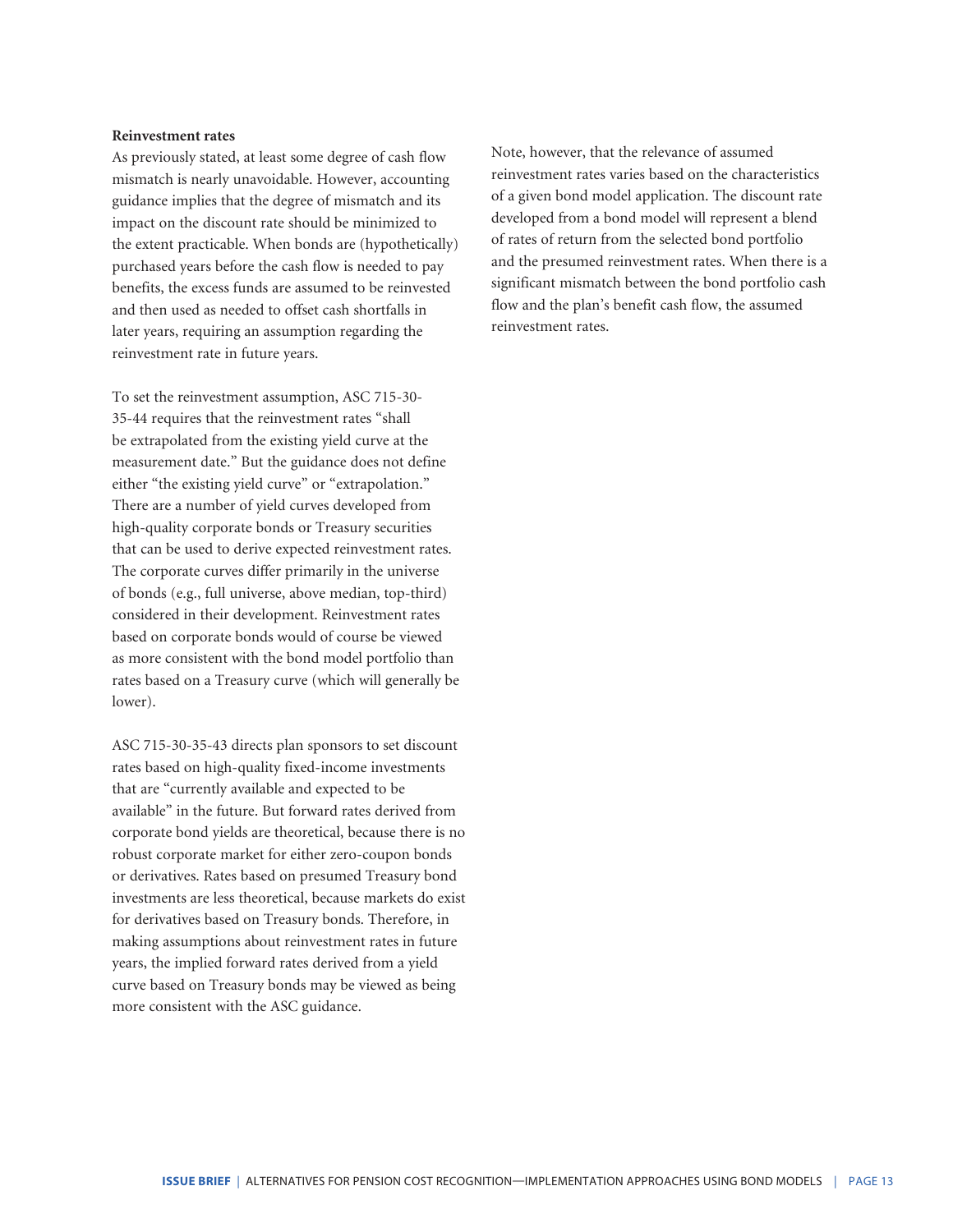#### **Reinvestment rates**

As previously stated, at least some degree of cash flow mismatch is nearly unavoidable. However, accounting guidance implies that the degree of mismatch and its impact on the discount rate should be minimized to the extent practicable. When bonds are (hypothetically) purchased years before the cash flow is needed to pay benefits, the excess funds are assumed to be reinvested and then used as needed to offset cash shortfalls in later years, requiring an assumption regarding the reinvestment rate in future years.

To set the reinvestment assumption, ASC 715-30- 35-44 requires that the reinvestment rates "shall be extrapolated from the existing yield curve at the measurement date." But the guidance does not define either "the existing yield curve" or "extrapolation." There are a number of yield curves developed from high-quality corporate bonds or Treasury securities that can be used to derive expected reinvestment rates. The corporate curves differ primarily in the universe of bonds (e.g., full universe, above median, top-third) considered in their development. Reinvestment rates based on corporate bonds would of course be viewed as more consistent with the bond model portfolio than rates based on a Treasury curve (which will generally be lower).

ASC 715-30-35-43 directs plan sponsors to set discount rates based on high-quality fixed-income investments that are "currently available and expected to be available" in the future. But forward rates derived from corporate bond yields are theoretical, because there is no robust corporate market for either zero-coupon bonds or derivatives. Rates based on presumed Treasury bond investments are less theoretical, because markets do exist for derivatives based on Treasury bonds. Therefore, in making assumptions about reinvestment rates in future years, the implied forward rates derived from a yield curve based on Treasury bonds may be viewed as being more consistent with the ASC guidance.

Note, however, that the relevance of assumed reinvestment rates varies based on the characteristics of a given bond model application. The discount rate developed from a bond model will represent a blend of rates of return from the selected bond portfolio and the presumed reinvestment rates. When there is a significant mismatch between the bond portfolio cash flow and the plan's benefit cash flow, the assumed reinvestment rates.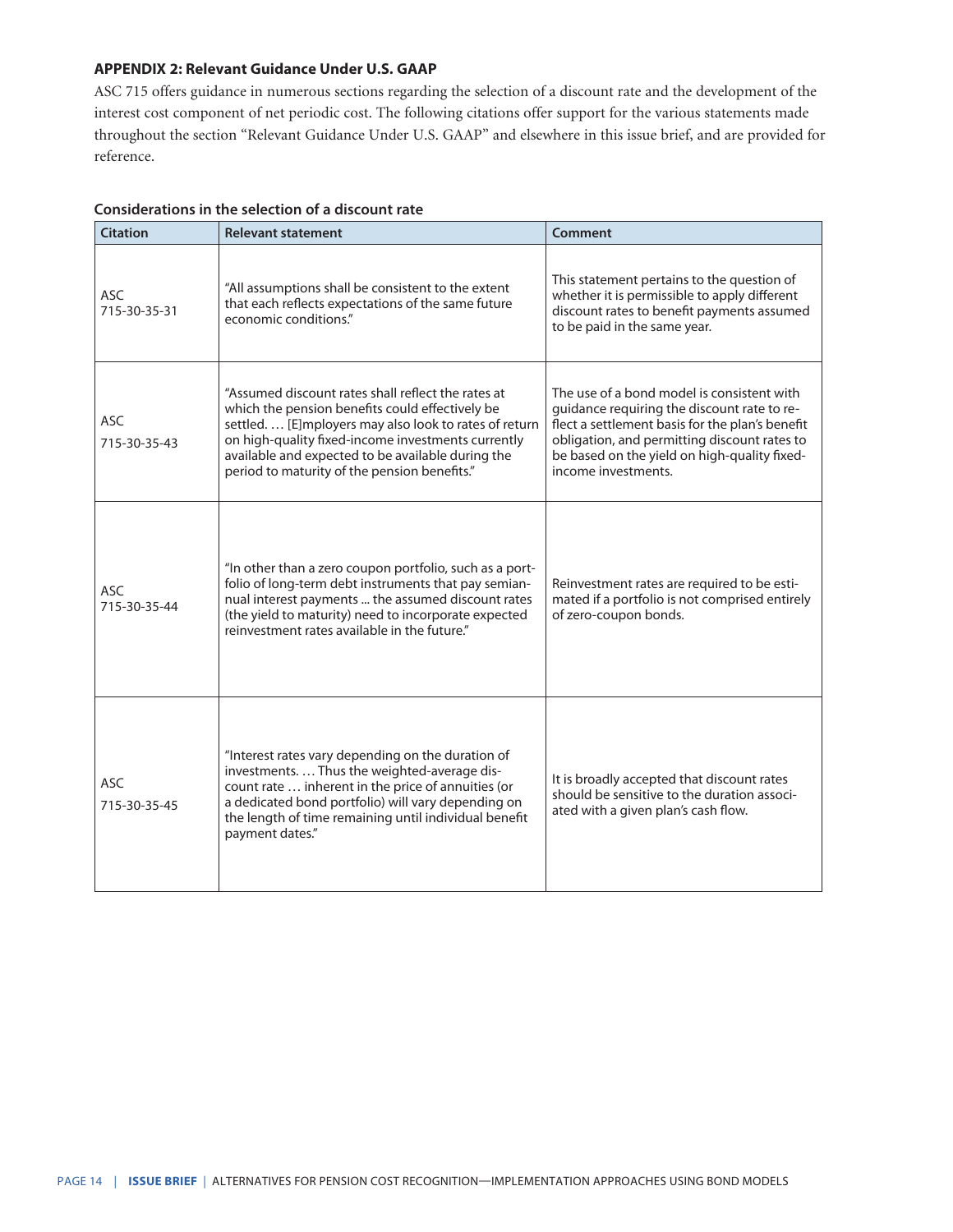#### **APPENDIX 2: Relevant Guidance Under U.S. GAAP**

ASC 715 offers guidance in numerous sections regarding the selection of a discount rate and the development of the interest cost component of net periodic cost. The following citations offer support for the various statements made throughout the section "Relevant Guidance Under U.S. GAAP" and elsewhere in this issue brief, and are provided for reference.

| <b>Citation</b>            | <b>Relevant statement</b>                                                                                                                                                                                                                                                                                                 | Comment                                                                                                                                                                                                                                                             |
|----------------------------|---------------------------------------------------------------------------------------------------------------------------------------------------------------------------------------------------------------------------------------------------------------------------------------------------------------------------|---------------------------------------------------------------------------------------------------------------------------------------------------------------------------------------------------------------------------------------------------------------------|
| <b>ASC</b><br>715-30-35-31 | "All assumptions shall be consistent to the extent<br>that each reflects expectations of the same future<br>economic conditions."                                                                                                                                                                                         | This statement pertains to the question of<br>whether it is permissible to apply different<br>discount rates to benefit payments assumed<br>to be paid in the same year.                                                                                            |
| <b>ASC</b><br>715-30-35-43 | "Assumed discount rates shall reflect the rates at<br>which the pension benefits could effectively be<br>settled. [E]mployers may also look to rates of return<br>on high-quality fixed-income investments currently<br>available and expected to be available during the<br>period to maturity of the pension benefits." | The use of a bond model is consistent with<br>guidance requiring the discount rate to re-<br>flect a settlement basis for the plan's benefit<br>obligation, and permitting discount rates to<br>be based on the yield on high-quality fixed-<br>income investments. |
| <b>ASC</b><br>715-30-35-44 | "In other than a zero coupon portfolio, such as a port-<br>folio of long-term debt instruments that pay semian-<br>nual interest payments  the assumed discount rates<br>(the yield to maturity) need to incorporate expected<br>reinvestment rates available in the future."                                             | Reinvestment rates are required to be esti-<br>mated if a portfolio is not comprised entirely<br>of zero-coupon bonds.                                                                                                                                              |
| <b>ASC</b><br>715-30-35-45 | "Interest rates vary depending on the duration of<br>investments.  Thus the weighted-average dis-<br>count rate  inherent in the price of annuities (or<br>a dedicated bond portfolio) will vary depending on<br>the length of time remaining until individual benefit<br>payment dates."                                 | It is broadly accepted that discount rates<br>should be sensitive to the duration associ-<br>ated with a given plan's cash flow.                                                                                                                                    |

# **Considerations in the selection of a discount rate**